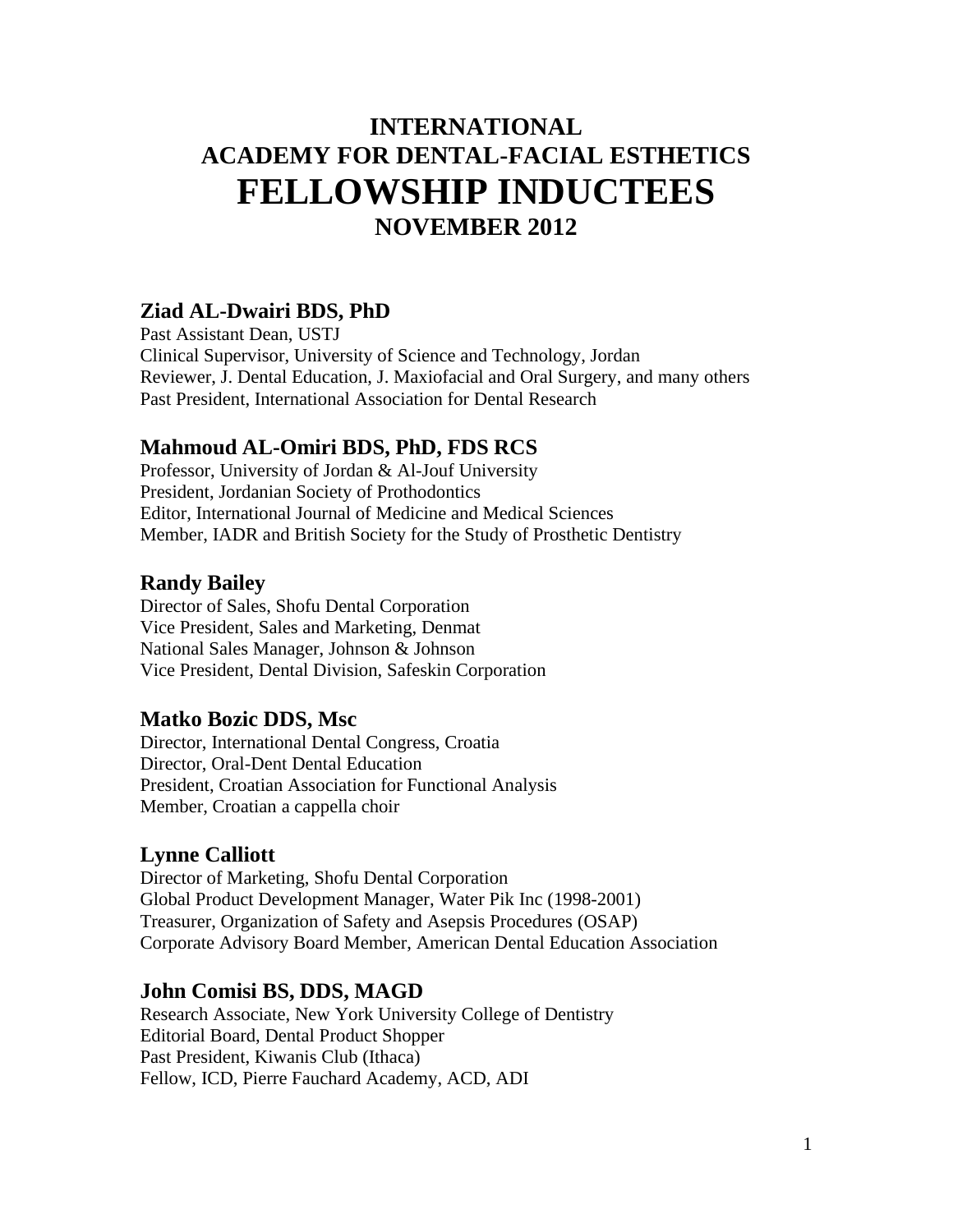# **INTERNATIONAL ACADEMY FOR DENTAL-FACIAL ESTHETICS FELLOWSHIP INDUCTEES NOVEMBER 2012**

#### **Ziad AL-Dwairi BDS, PhD**

Past Assistant Dean, USTJ Clinical Supervisor, University of Science and Technology, Jordan Reviewer, J. Dental Education, J. Maxiofacial and Oral Surgery, and many others Past President, International Association for Dental Research

### **Mahmoud AL-Omiri BDS, PhD, FDS RCS**

Professor, University of Jordan & Al-Jouf University President, Jordanian Society of Prothodontics Editor, International Journal of Medicine and Medical Sciences Member, IADR and British Society for the Study of Prosthetic Dentistry

### **Randy Bailey**

Director of Sales, Shofu Dental Corporation Vice President, Sales and Marketing, Denmat National Sales Manager, Johnson & Johnson Vice President, Dental Division, Safeskin Corporation

#### **Matko Bozic DDS, Msc**

Director, International Dental Congress, Croatia Director, Oral-Dent Dental Education President, Croatian Association for Functional Analysis Member, Croatian a cappella choir

#### **Lynne Calliott**

Director of Marketing, Shofu Dental Corporation Global Product Development Manager, Water Pik Inc (1998-2001) Treasurer, Organization of Safety and Asepsis Procedures (OSAP) Corporate Advisory Board Member, American Dental Education Association

#### **John Comisi BS, DDS, MAGD**

Research Associate, New York University College of Dentistry Editorial Board, Dental Product Shopper Past President, Kiwanis Club (Ithaca) Fellow, ICD, Pierre Fauchard Academy, ACD, ADI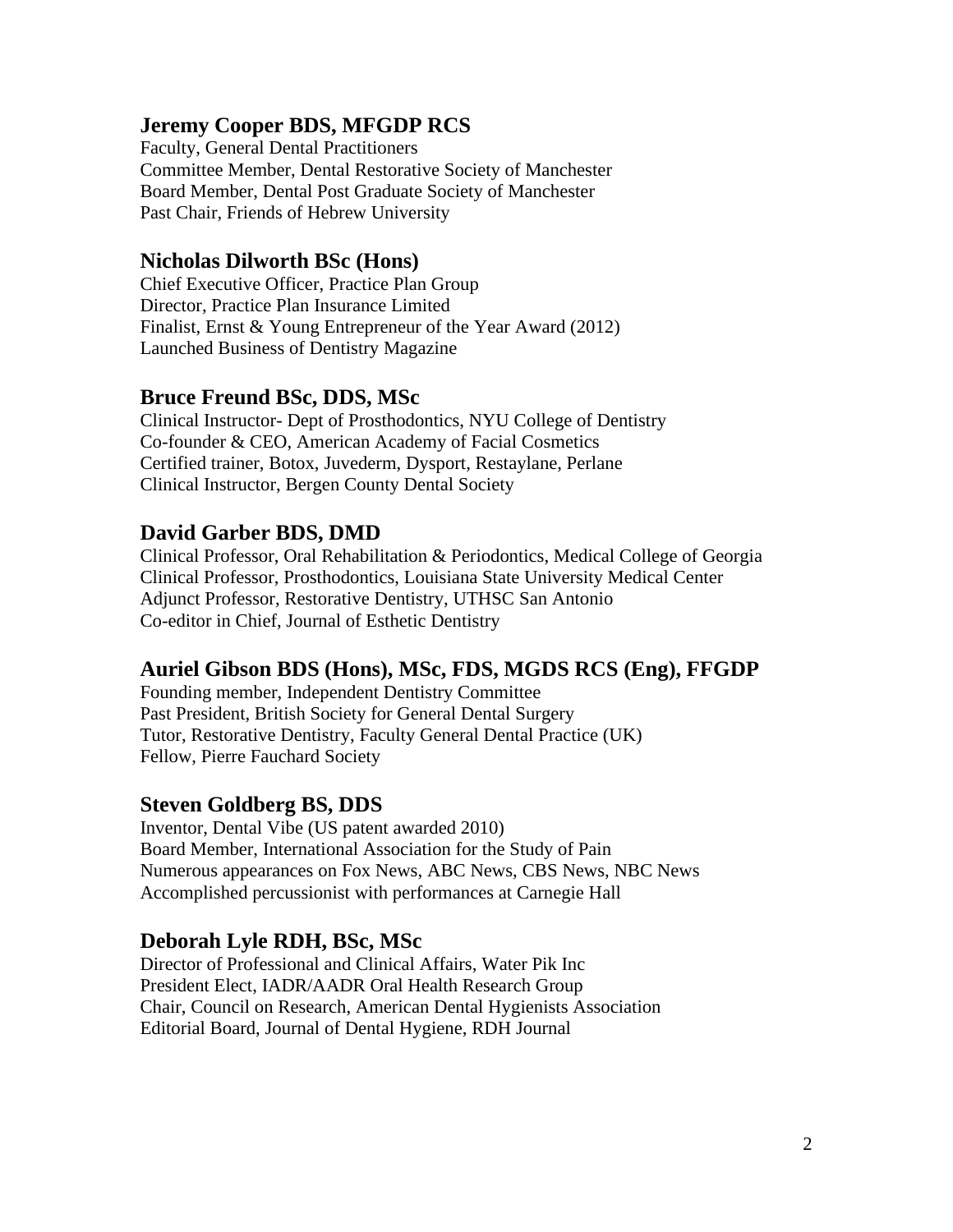## **Jeremy Cooper BDS, MFGDP RCS**

Faculty, General Dental Practitioners Committee Member, Dental Restorative Society of Manchester Board Member, Dental Post Graduate Society of Manchester Past Chair, Friends of Hebrew University

#### **Nicholas Dilworth BSc (Hons)**

Chief Executive Officer, Practice Plan Group Director, Practice Plan Insurance Limited Finalist, Ernst & Young Entrepreneur of the Year Award (2012) Launched Business of Dentistry Magazine

#### **Bruce Freund BSc, DDS, MSc**

Clinical Instructor- Dept of Prosthodontics, NYU College of Dentistry Co-founder & CEO, American Academy of Facial Cosmetics Certified trainer, Botox, Juvederm, Dysport, Restaylane, Perlane Clinical Instructor, Bergen County Dental Society

### **David Garber BDS, DMD**

Clinical Professor, Oral Rehabilitation & Periodontics, Medical College of Georgia Clinical Professor, Prosthodontics, Louisiana State University Medical Center Adjunct Professor, Restorative Dentistry, UTHSC San Antonio Co-editor in Chief, Journal of Esthetic Dentistry

#### **Auriel Gibson BDS (Hons), MSc, FDS, MGDS RCS (Eng), FFGDP**

Founding member, Independent Dentistry Committee Past President, British Society for General Dental Surgery Tutor, Restorative Dentistry, Faculty General Dental Practice (UK) Fellow, Pierre Fauchard Society

#### **Steven Goldberg BS, DDS**

Inventor, Dental Vibe (US patent awarded 2010) Board Member, International Association for the Study of Pain Numerous appearances on Fox News, ABC News, CBS News, NBC News Accomplished percussionist with performances at Carnegie Hall

#### **Deborah Lyle RDH, BSc, MSc**

Director of Professional and Clinical Affairs, Water Pik Inc President Elect, IADR/AADR Oral Health Research Group Chair, Council on Research, American Dental Hygienists Association Editorial Board, Journal of Dental Hygiene, RDH Journal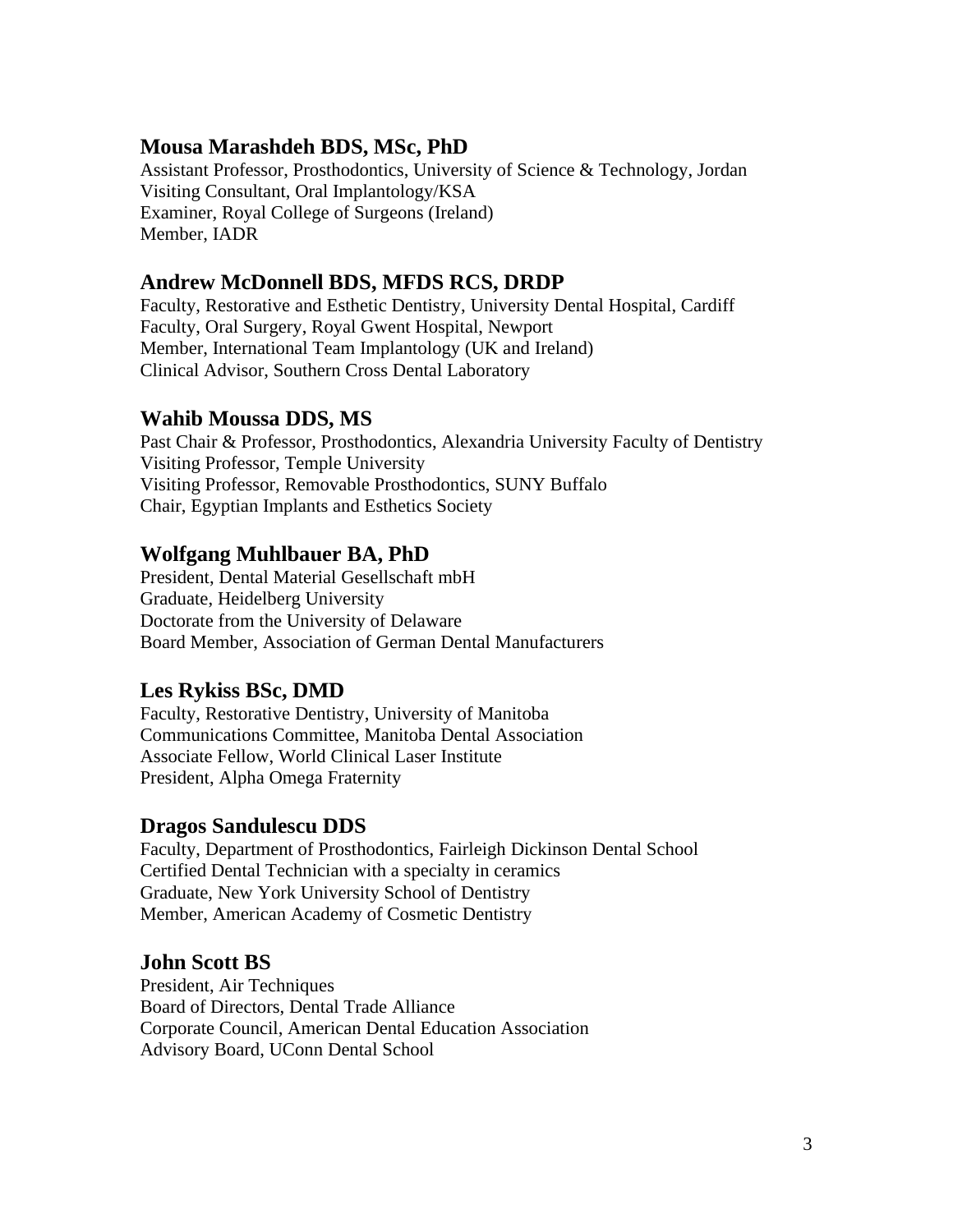### **Mousa Marashdeh BDS, MSc, PhD**

Assistant Professor, Prosthodontics, University of Science & Technology, Jordan Visiting Consultant, Oral Implantology/KSA Examiner, Royal College of Surgeons (Ireland) Member, IADR

#### **Andrew McDonnell BDS, MFDS RCS, DRDP**

Faculty, Restorative and Esthetic Dentistry, University Dental Hospital, Cardiff Faculty, Oral Surgery, Royal Gwent Hospital, Newport Member, International Team Implantology (UK and Ireland) Clinical Advisor, Southern Cross Dental Laboratory

## **Wahib Moussa DDS, MS**

Past Chair & Professor, Prosthodontics, Alexandria University Faculty of Dentistry Visiting Professor, Temple University Visiting Professor, Removable Prosthodontics, SUNY Buffalo Chair, Egyptian Implants and Esthetics Society

## **Wolfgang Muhlbauer BA, PhD**

President, Dental Material Gesellschaft mbH Graduate, Heidelberg University Doctorate from the University of Delaware Board Member, Association of German Dental Manufacturers

## **Les Rykiss BSc, DMD**

Faculty, Restorative Dentistry, University of Manitoba Communications Committee, Manitoba Dental Association Associate Fellow, World Clinical Laser Institute President, Alpha Omega Fraternity

## **Dragos Sandulescu DDS**

Faculty, Department of Prosthodontics, Fairleigh Dickinson Dental School Certified Dental Technician with a specialty in ceramics Graduate, New York University School of Dentistry Member, American Academy of Cosmetic Dentistry

## **John Scott BS**

President, Air Techniques Board of Directors, Dental Trade Alliance Corporate Council, American Dental Education Association Advisory Board, UConn Dental School